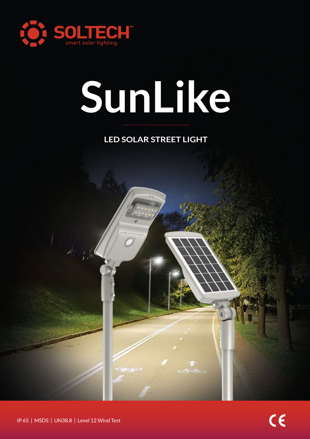

# **SunLike**

# **LED SOLAR STREET LIGHT**

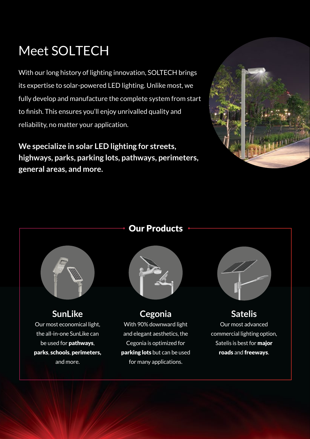# Meet SOLTECH

With our long history of lighting innovation, SOLTECH brings its expertise to solar-powered LED lighting. Unlike most, we fully develop and manufacture the complete system from start to finish. This ensures you'll enjoy unrivalled quality and reliability, no matter your application.

**We specialize in solar LED lighting for streets, highways, parks, parking lots, pathways, perimeters, general areas, and more.**







**SunLike** Our most economical light, the all-in-one SunLike can be used for pathways, parks, schools, perimeters, and more.



**Cegonia** With 90% downward light and elegant aesthetics, the Cegonia is optimized for parking lots but can be used for many applications.



**Satelis** Our most advanced commercial lighting option, Satelis is best for major roads and freeways.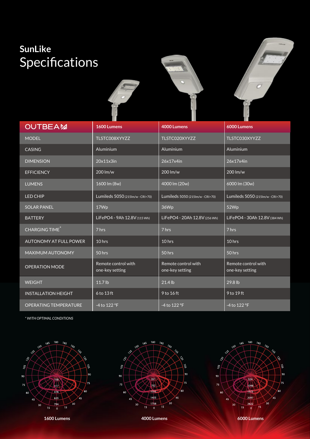# **SunLike** Specifications



| <b>OUTBEAM</b>                | 1600 Lumens                            | 4000 Lumens                            | 6000 Lumens                            |
|-------------------------------|----------------------------------------|----------------------------------------|----------------------------------------|
| <b>MODEL</b>                  | TLSTC008XYYZZ                          | TLSTC020XYYZZ                          | TLSTC030XYYZZ                          |
| <b>CASING</b>                 | Aluminium                              | Aluminium                              | Aluminium                              |
| <b>DIMENSION</b>              | 20x11x3in                              | 26x17x4in                              | 26x17x4in                              |
| <b>EFFICIENCY</b>             | 200 lm/w                               | 200 lm/w                               | 200 lm/w                               |
| <b>LUMENS</b>                 | 1600 lm (8w)                           | 4000 lm (20w)                          | 6000 lm (30w)                          |
| <b>LED CHIP</b>               | Lumileds 5050 (215Im/w - CRI>70)       | Lumileds 5050 (215lm/w - CRI>70)       | Lumileds 5050 (215Im/w-CRI>70)         |
| <b>SOLAR PANEL</b>            | 17Wp                                   | 36Wp                                   | 52Wp                                   |
| <b>BATTERY</b>                | LiFePO4 - 9Ah 12.8V (115 Wh)           | LiFePO4 - 20Ah 12.8V (256 Wh)          | LiFePO4 - 30Ah 12.8V (384 Wh)          |
| CHARGING TIME <sup>*</sup>    | 7 hrs                                  | 7 hrs                                  | 7 hrs                                  |
| <b>AUTONOMY AT FULL POWER</b> | 10 hrs                                 | 10 hrs                                 | 10 hrs                                 |
| MAXIMUM AUTONOMY              | 50 hrs                                 | 50 hrs                                 | 50 hrs                                 |
| <b>OPERATION MODE</b>         | Remote control with<br>one-key setting | Remote control with<br>one-key setting | Remote control with<br>one-key setting |
| <b>WEIGHT</b>                 | 11.7 lb                                | 21.4 lb                                | 29.8 lb                                |
| <b>INSTALLATION HEIGHT</b>    | 6 to 13 ft                             | 9 to 16 ft                             | 9 to 19 ft                             |
| <b>OPERATING TEMPERATURE</b>  | -4 to 122 °F                           | -4 to 122 °F                           | -4 to 122 °F                           |

*\* WITH OPTIMAL CONDITIONS*







**1600 Lumens 4000 Lumens 6000 Lumens**